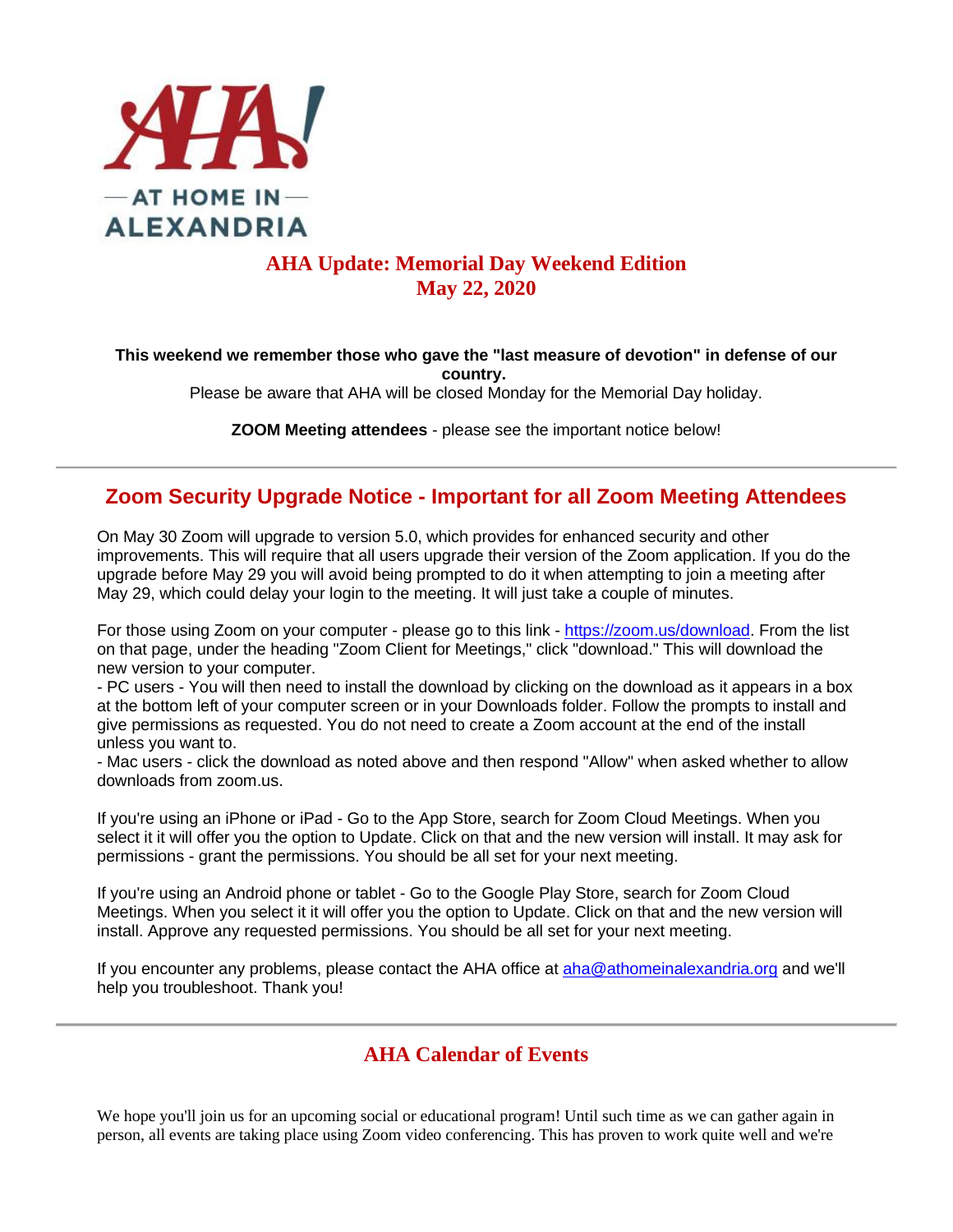

### **AHA Update: Memorial Day Weekend Edition May 22, 2020**

**This weekend we remember those who gave the "last measure of devotion" in defense of our country.**

Please be aware that AHA will be closed Monday for the Memorial Day holiday.

**ZOOM Meeting attendees** - please see the important notice below!

### **Zoom Security Upgrade Notice - Important for all Zoom Meeting Attendees**

On May 30 Zoom will upgrade to version 5.0, which provides for enhanced security and other improvements. This will require that all users upgrade their version of the Zoom application. If you do the upgrade before May 29 you will avoid being prompted to do it when attempting to join a meeting after May 29, which could delay your login to the meeting. It will just take a couple of minutes.

For those using Zoom on your computer - please go to this link - [https://zoom.us/download.](https://zoom.us/download) From the list on that page, under the heading "Zoom Client for Meetings," click "download." This will download the new version to your computer.

- PC users - You will then need to install the download by clicking on the download as it appears in a box at the bottom left of your computer screen or in your Downloads folder. Follow the prompts to install and give permissions as requested. You do not need to create a Zoom account at the end of the install unless you want to.

- Mac users - click the download as noted above and then respond "Allow" when asked whether to allow downloads from zoom.us.

If you're using an iPhone or iPad - Go to the App Store, search for Zoom Cloud Meetings. When you select it it will offer you the option to Update. Click on that and the new version will install. It may ask for permissions - grant the permissions. You should be all set for your next meeting.

If you're using an Android phone or tablet - Go to the Google Play Store, search for Zoom Cloud Meetings. When you select it it will offer you the option to Update. Click on that and the new version will install. Approve any requested permissions. You should be all set for your next meeting.

If you encounter any problems, please contact the AHA office at [aha@athomeinalexandria.org](mailto:aha@athomeinalexandria.org) and we'll help you troubleshoot. Thank you!

### **AHA Calendar of Events**

We hope you'll join us for an upcoming social or educational program! Until such time as we can gather again in person, all events are taking place using Zoom video conferencing. This has proven to work quite well and we're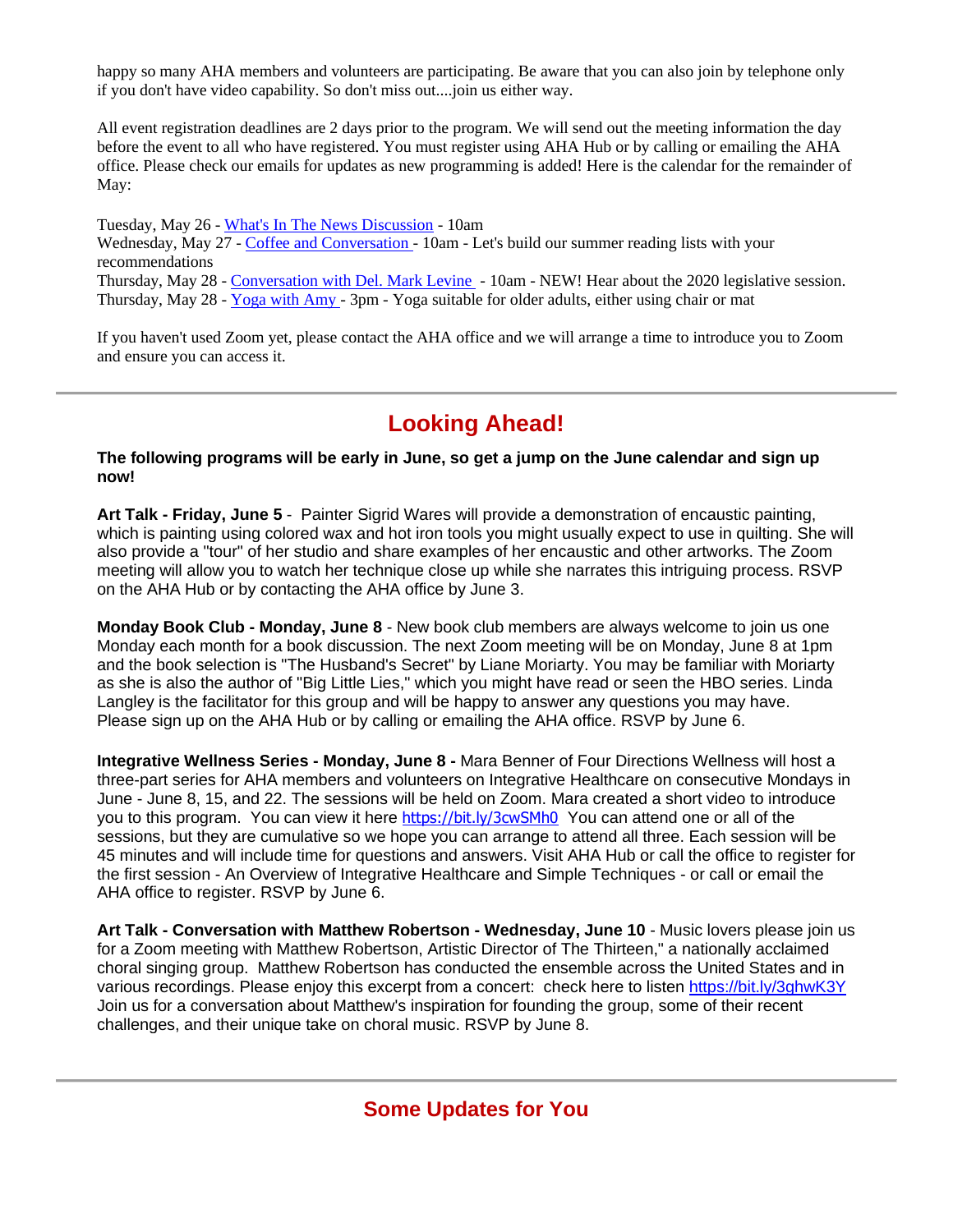happy so many AHA members and volunteers are participating. Be aware that you can also join by telephone only if you don't have video capability. So don't miss out....join us either way.

All event registration deadlines are 2 days prior to the program. We will send out the meeting information the day before the event to all who have registered. You must register using AHA Hub or by calling or emailing the AHA office. Please check our emails for updates as new programming is added! Here is the calendar for the remainder of May:

Tuesday, May 26 - [What's In The News Discussion](https://aha.clubexpress.com/content.aspx?page_id=4002&club_id=251265&item_id=1207793) - 10am Wednesday, May 27 - [Coffee and Conversation -](https://aha.clubexpress.com/content.aspx?page_id=4002&club_id=251265&item_id=1207796) 10am - Let's build our summer reading lists with your recommendations Thursday, May 28 - [Conversation with Del. Mark Levine](https://aha.clubexpress.com/content.aspx?page_id=4002&club_id=251265&item_id=1218170) - 10am - NEW! Hear about the 2020 legislative session. Thursday, May 28 - [Yoga with Amy -](https://aha.clubexpress.com/content.aspx?page_id=4002&club_id=251265&item_id=1215813) 3pm - Yoga suitable for older adults, either using chair or mat

If you haven't used Zoom yet, please contact the AHA office and we will arrange a time to introduce you to Zoom and ensure you can access it.

## **Looking Ahead!**

**The following programs will be early in June, so get a jump on the June calendar and sign up now!**

**Art Talk - Friday, June 5** - Painter Sigrid Wares will provide a demonstration of encaustic painting, which is painting using colored wax and hot iron tools you might usually expect to use in quilting. She will also provide a "tour" of her studio and share examples of her encaustic and other artworks. The Zoom meeting will allow you to watch her technique close up while she narrates this intriguing process. RSVP on the AHA Hub or by contacting the AHA office by June 3.

**Monday Book Club - Monday, June 8** - New book club members are always welcome to join us one Monday each month for a book discussion. The next Zoom meeting will be on Monday, June 8 at 1pm and the book selection is "The Husband's Secret" by Liane Moriarty. You may be familiar with Moriarty as she is also the author of "Big Little Lies," which you might have read or seen the HBO series. Linda Langley is the facilitator for this group and will be happy to answer any questions you may have. Please sign up on the AHA Hub or by calling or emailing the AHA office. RSVP by June 6.

**Integrative Wellness Series - Monday, June 8 -** Mara Benner of Four Directions Wellness will host a three-part series for AHA members and volunteers on Integrative Healthcare on consecutive Mondays in June - June 8, 15, and 22. The sessions will be held on Zoom. Mara created a short video to introduce you to this program. You can view it here <https://bit.ly/3cwSMh0> You can attend one or all of the sessions, but they are cumulative so we hope you can arrange to attend all three. Each session will be 45 minutes and will include time for questions and answers. Visit AHA Hub or call the office to register for the first session - An Overview of Integrative Healthcare and Simple Techniques - or call or email the AHA office to register. RSVP by June 6.

**Art Talk - Conversation with Matthew Robertson - Wednesday, June 10** - Music lovers please join us for a Zoom meeting with Matthew Robertson, Artistic Director of The Thirteen," a nationally acclaimed choral singing group. Matthew Robertson has conducted the ensemble across the United States and in various recordings. Please enjoy this excerpt from a concert: check here to listen<https://bit.ly/3ghwK3Y> Join us for a conversation about Matthew's inspiration for founding the group, some of their recent challenges, and their unique take on choral music. RSVP by June 8.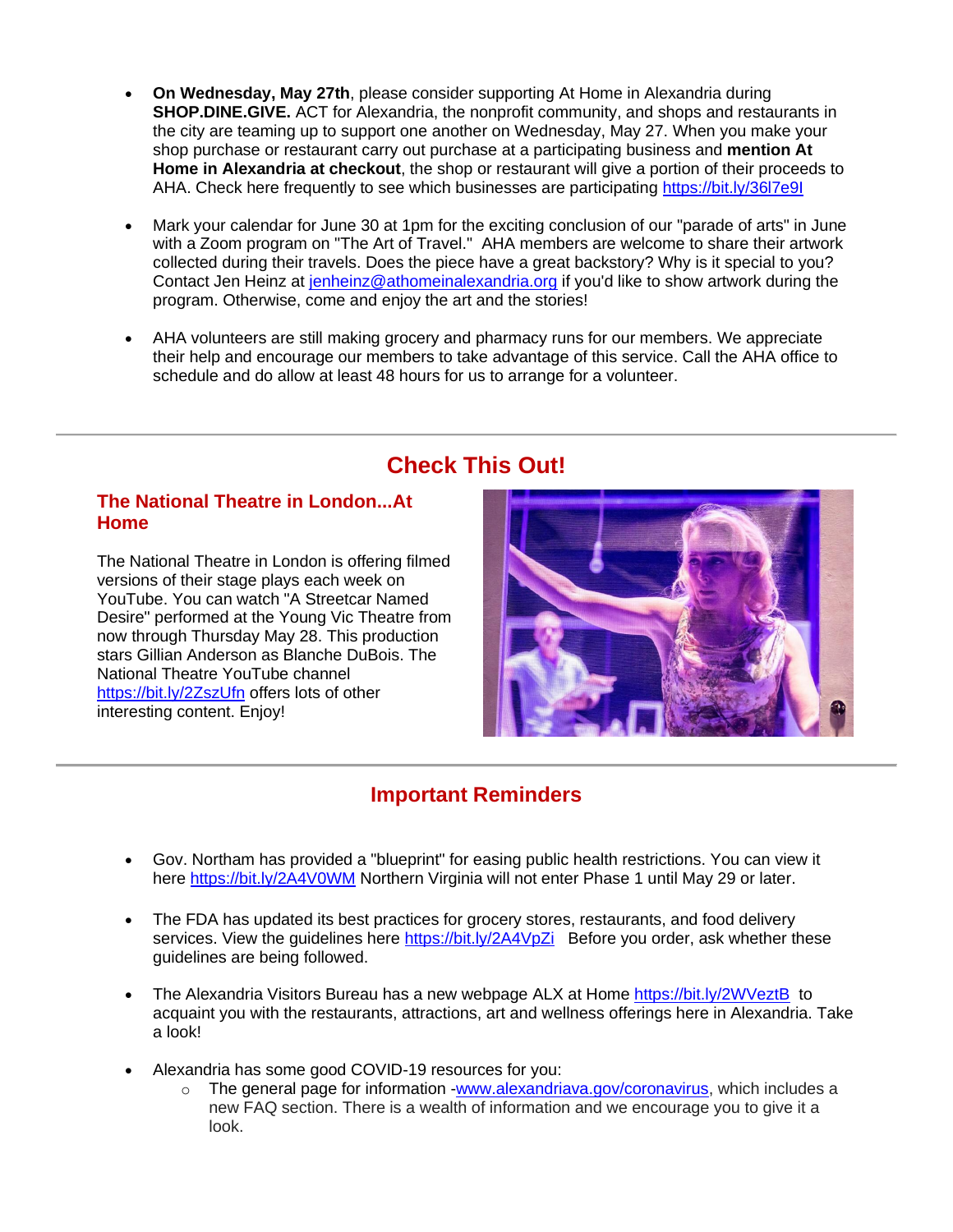- **On Wednesday, May 27th**, please consider supporting At Home in Alexandria during **SHOP.DINE.GIVE.** ACT for Alexandria, the nonprofit community, and shops and restaurants in the city are teaming up to support one another on Wednesday, May 27. When you make your shop purchase or restaurant carry out purchase at a participating business and **mention At Home in Alexandria at checkout**, the shop or restaurant will give a portion of their proceeds to AHA. Check here frequently to see which businesses are participating <https://bit.ly/36l7e9I>
- Mark your calendar for June 30 at 1pm for the exciting conclusion of our "parade of arts" in June with a Zoom program on "The Art of Travel." AHA members are welcome to share their artwork collected during their travels. Does the piece have a great backstory? Why is it special to you? Contact Jen Heinz at [jenheinz@athomeinalexandria.org](mailto:jenheinz@athomeinalexandria.org) if you'd like to show artwork during the program. Otherwise, come and enjoy the art and the stories!
- AHA volunteers are still making grocery and pharmacy runs for our members. We appreciate their help and encourage our members to take advantage of this service. Call the AHA office to schedule and do allow at least 48 hours for us to arrange for a volunteer.

# **Check This Out!**

#### **The National Theatre in London...At Home**

The National Theatre in London is offering filmed versions of their stage plays each week on YouTube. You can watch "A Streetcar Named Desire" performed at the Young Vic Theatre from now through Thursday May 28. This production stars Gillian Anderson as Blanche DuBois. The National Theatre YouTube channel <https://bit.ly/2ZszUfn> offers lots of other interesting content. Enjoy!



### **Important Reminders**

- Gov. Northam has provided a "blueprint" for easing public health restrictions. You can view it here <https://bit.ly/2A4V0WM> Northern Virginia will not enter Phase 1 until May 29 or later.
- The FDA has updated its best practices for grocery stores, restaurants, and food delivery services. View the quidelines here<https://bit.ly/2A4VpZi>Before you order, ask whether these guidelines are being followed.
- The Alexandria Visitors Bureau has a new webpage ALX at Home <https://bit.ly/2WVeztB> to acquaint you with the restaurants, attractions, art and wellness offerings here in Alexandria. Take a look!
- Alexandria has some good COVID-19 resources for you:
	- $\circ$  The general page for information [-www.alexandriava.gov/coronavirus,](http://www.alexandriava.gov/coronavirus) which includes a new FAQ section. There is a wealth of information and we encourage you to give it a look.